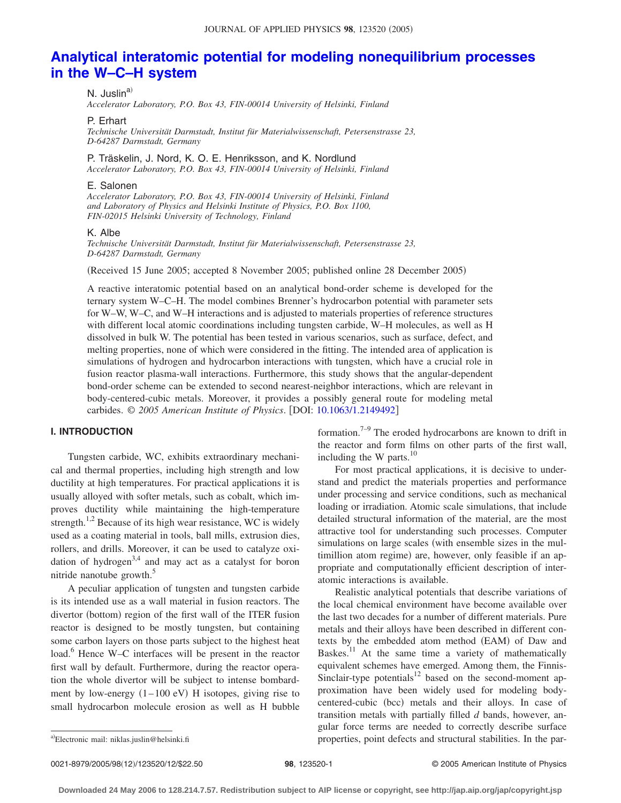# **[Analytical interatomic potential for modeling nonequilibrium processes](http://dx.doi.org/10.1063/1.2149492) [in the W–C–H system](http://dx.doi.org/10.1063/1.2149492)**

N. Juslin<sup>a)</sup>

*Accelerator Laboratory, P.O. Box 43, FIN-00014 University of Helsinki, Finland*

#### P. Erhart

*Technische Universität Darmstadt, Institut für Materialwissenschaft, Petersenstrasse 23, D-64287 Darmstadt, Germany*

P. Träskelin, J. Nord, K. O. E. Henriksson, and K. Nordlund *Accelerator Laboratory, P.O. Box 43, FIN-00014 University of Helsinki, Finland*

# E. Salonen

*Accelerator Laboratory, P.O. Box 43, FIN-00014 University of Helsinki, Finland and Laboratory of Physics and Helsinki Institute of Physics, P.O. Box 1100, FIN-02015 Helsinki University of Technology, Finland*

#### K. Albe

*Technische Universität Darmstadt, Institut für Materialwissenschaft, Petersenstrasse 23, D-64287 Darmstadt, Germany*

Received 15 June 2005; accepted 8 November 2005; published online 28 December 2005-

A reactive interatomic potential based on an analytical bond-order scheme is developed for the ternary system W–C–H. The model combines Brenner's hydrocarbon potential with parameter sets for W–W, W–C, and W–H interactions and is adjusted to materials properties of reference structures with different local atomic coordinations including tungsten carbide, W–H molecules, as well as H dissolved in bulk W. The potential has been tested in various scenarios, such as surface, defect, and melting properties, none of which were considered in the fitting. The intended area of application is simulations of hydrogen and hydrocarbon interactions with tungsten, which have a crucial role in fusion reactor plasma-wall interactions. Furthermore, this study shows that the angular-dependent bond-order scheme can be extended to second nearest-neighbor interactions, which are relevant in body-centered-cubic metals. Moreover, it provides a possibly general route for modeling metal carbides. © 2005 American Institute of Physics. [DOI: [10.1063/1.2149492](http://dx.doi.org/10.1063/1.2149492)]

# **I. INTRODUCTION**

Tungsten carbide, WC, exhibits extraordinary mechanical and thermal properties, including high strength and low ductility at high temperatures. For practical applications it is usually alloyed with softer metals, such as cobalt, which improves ductility while maintaining the high-temperature strength.<sup>1,2</sup> Because of its high wear resistance, WC is widely used as a coating material in tools, ball mills, extrusion dies, rollers, and drills. Moreover, it can be used to catalyze oxidation of hydrogen<sup>3,4</sup> and may act as a catalyst for boron nitride nanotube growth.5

A peculiar application of tungsten and tungsten carbide is its intended use as a wall material in fusion reactors. The divertor (bottom) region of the first wall of the ITER fusion reactor is designed to be mostly tungsten, but containing some carbon layers on those parts subject to the highest heat load.<sup>6</sup> Hence W–C interfaces will be present in the reactor first wall by default. Furthermore, during the reactor operation the whole divertor will be subject to intense bombardment by low-energy  $(1-100 \text{ eV})$  H isotopes, giving rise to small hydrocarbon molecule erosion as well as H bubble formation.7–9 The eroded hydrocarbons are known to drift in the reactor and form films on other parts of the first wall, including the W parts.<sup>10</sup>

For most practical applications, it is decisive to understand and predict the materials properties and performance under processing and service conditions, such as mechanical loading or irradiation. Atomic scale simulations, that include detailed structural information of the material, are the most attractive tool for understanding such processes. Computer simulations on large scales (with ensemble sizes in the multimillion atom regime) are, however, only feasible if an appropriate and computationally efficient description of interatomic interactions is available.

Realistic analytical potentials that describe variations of the local chemical environment have become available over the last two decades for a number of different materials. Pure metals and their alloys have been described in different contexts by the embedded atom method (EAM) of Daw and Baskes.<sup>11</sup> At the same time a variety of mathematically equivalent schemes have emerged. Among them, the Finnis-Sinclair-type potentials<sup>12</sup> based on the second-moment approximation have been widely used for modeling bodycentered-cubic (bcc) metals and their alloys. In case of transition metals with partially filled *d* bands, however, angular force terms are needed to correctly describe surface properties, point defects and structural stabilities. In the par-

Electronic mail: niklas.juslin@helsinki.fi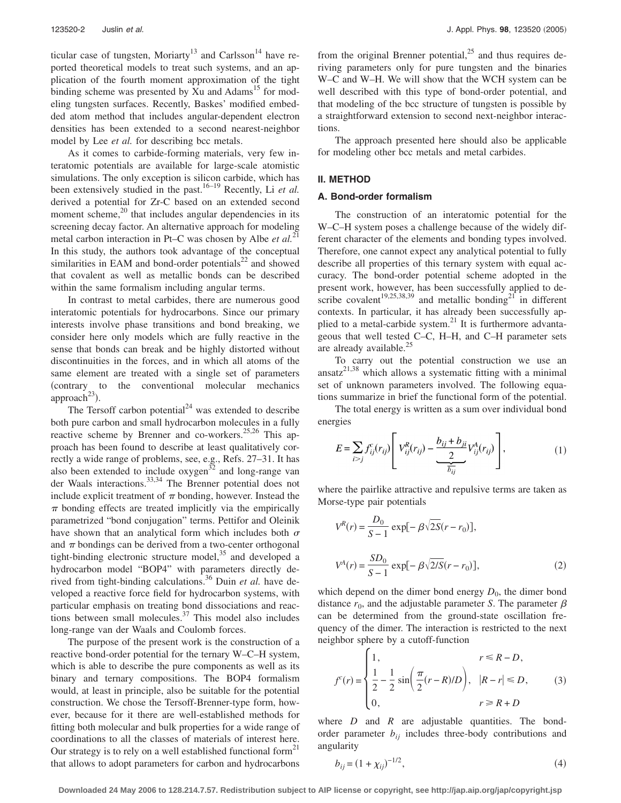ticular case of tungsten, Moriarty<sup>13</sup> and Carlsson<sup>14</sup> have reported theoretical models to treat such systems, and an application of the fourth moment approximation of the tight binding scheme was presented by Xu and  $Adams<sup>15</sup>$  for modeling tungsten surfaces. Recently, Baskes' modified embedded atom method that includes angular-dependent electron densities has been extended to a second nearest-neighbor model by Lee *et al.* for describing bcc metals.

As it comes to carbide-forming materials, very few interatomic potentials are available for large-scale atomistic simulations. The only exception is silicon carbide, which has been extensively studied in the past.<sup>16–19</sup> Recently, Li *et al.* derived a potential for Zr-C based on an extended second moment scheme, $^{20}$  that includes angular dependencies in its screening decay factor. An alternative approach for modeling metal carbon interaction in Pt–C was chosen by Albe *et al.*<sup>21</sup> In this study, the authors took advantage of the conceptual similarities in EAM and bond-order potentials $^{22}$  and showed that covalent as well as metallic bonds can be described within the same formalism including angular terms.

In contrast to metal carbides, there are numerous good interatomic potentials for hydrocarbons. Since our primary interests involve phase transitions and bond breaking, we consider here only models which are fully reactive in the sense that bonds can break and be highly distorted without discontinuities in the forces, and in which all atoms of the same element are treated with a single set of parameters contrary to the conventional molecular mechanics  $approach<sup>23</sup>$ ).

The Tersoff carbon potential<sup>24</sup> was extended to describe both pure carbon and small hydrocarbon molecules in a fully reactive scheme by Brenner and co-workers.<sup>25,26</sup> This approach has been found to describe at least qualitatively correctly a wide range of problems, see, e.g., Refs. 27–31. It has also been extended to include  $oxygen^{32}$  and long-range van der Waals interactions.<sup>33,34</sup> The Brenner potential does not include explicit treatment of  $\pi$  bonding, however. Instead the  $\pi$  bonding effects are treated implicitly via the empirically parametrized "bond conjugation" terms. Pettifor and Oleinik have shown that an analytical form which includes both  $\sigma$ and  $\pi$  bondings can be derived from a two-center orthogonal tight-binding electronic structure model, $35$  and developed a hydrocarbon model "BOP4" with parameters directly derived from tight-binding calculations.<sup>36</sup> Duin *et al.* have developed a reactive force field for hydrocarbon systems, with particular emphasis on treating bond dissociations and reactions between small molecules.37 This model also includes long-range van der Waals and Coulomb forces.

The purpose of the present work is the construction of a reactive bond-order potential for the ternary W–C–H system, which is able to describe the pure components as well as its binary and ternary compositions. The BOP4 formalism would, at least in principle, also be suitable for the potential construction. We chose the Tersoff-Brenner-type form, however, because for it there are well-established methods for fitting both molecular and bulk properties for a wide range of coordinations to all the classes of materials of interest here. Our strategy is to rely on a well established functional form<sup>21</sup> that allows to adopt parameters for carbon and hydrocarbons from the original Brenner potential, $^{25}$  and thus requires deriving parameters only for pure tungsten and the binaries W–C and W–H. We will show that the WCH system can be well described with this type of bond-order potential, and that modeling of the bcc structure of tungsten is possible by a straightforward extension to second next-neighbor interactions.

The approach presented here should also be applicable for modeling other bcc metals and metal carbides.

# **II. METHOD**

#### **A. Bond-order formalism**

The construction of an interatomic potential for the W–C–H system poses a challenge because of the widely different character of the elements and bonding types involved. Therefore, one cannot expect any analytical potential to fully describe all properties of this ternary system with equal accuracy. The bond-order potential scheme adopted in the present work, however, has been successfully applied to describe covalent<sup>19,25,38,39</sup> and metallic bonding<sup>21</sup> in different contexts. In particular, it has already been successfully applied to a metal-carbide system. $21$  It is furthermore advantageous that well tested C–C, H–H, and C–H parameter sets are already available.<sup>25</sup>

To carry out the potential construction we use an ansatz $2^{1,38}$  which allows a systematic fitting with a minimal set of unknown parameters involved. The following equations summarize in brief the functional form of the potential.

The total energy is written as a sum over individual bond energies

$$
E = \sum_{i>j} f_{ij}^c(r_{ij}) \left[ V_{ij}^R(r_{ij}) - \frac{b_{ij} + b_{ji}}{2} V_{ij}^A(r_{ij}) \right],
$$
 (1)

where the pairlike attractive and repulsive terms are taken as Morse-type pair potentials

$$
V^{R}(r) = \frac{D_{0}}{S-1} \exp[-\beta \sqrt{2S}(r - r_{0})],
$$
  

$$
V^{A}(r) = \frac{SD_{0}}{S-1} \exp[-\beta \sqrt{2/S}(r - r_{0})],
$$
 (2)

which depend on the dimer bond energy  $D_0$ , the dimer bond distance  $r_0$ , and the adjustable parameter *S*. The parameter  $\beta$ can be determined from the ground-state oscillation frequency of the dimer. The interaction is restricted to the next neighbor sphere by a cutoff-function

$$
f^{c}(r) = \begin{cases} 1, & r \le R - D, \\ \frac{1}{2} - \frac{1}{2} \sin\left(\frac{\pi}{2}(r - R)/D\right), & |R - r| \le D, \\ 0, & r \ge R + D \end{cases}
$$
(3)

where  $D$  and  $R$  are adjustable quantities. The bondorder parameter  $b_{ij}$  includes three-body contributions and angularity

$$
b_{ij} = (1 + \chi_{ij})^{-1/2},\tag{4}
$$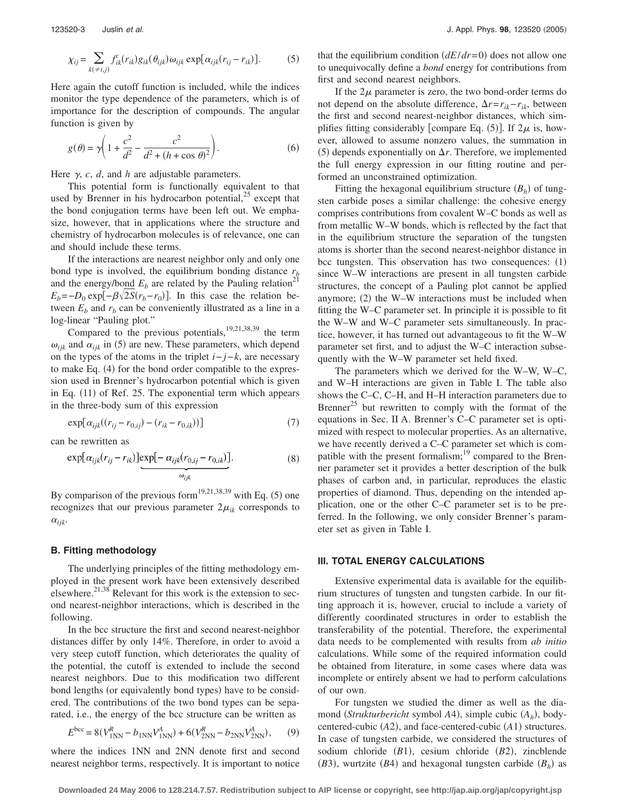$$
\chi_{ij} = \sum_{k(\neq i,j)} f_{ik}^c(r_{ik}) g_{ik}(\theta_{ijk}) \omega_{ijk} \exp[\alpha_{ijk}(r_{ij} - r_{ik})]. \tag{5}
$$

Here again the cutoff function is included, while the indices monitor the type dependence of the parameters, which is of importance for the description of compounds. The angular function is given by

$$
g(\theta) = \gamma \left( 1 + \frac{c^2}{d^2} - \frac{c^2}{d^2 + (h + \cos \theta)^2} \right).
$$
 (6)

Here  $\gamma$ , *c*, *d*, and *h* are adjustable parameters.

This potential form is functionally equivalent to that used by Brenner in his hydrocarbon potential, $^{25}$  except that the bond conjugation terms have been left out. We emphasize, however, that in applications where the structure and chemistry of hydrocarbon molecules is of relevance, one can and should include these terms.

If the interactions are nearest neighbor only and only one bond type is involved, the equilibrium bonding distance  $r<sub>b</sub>$ and the energy/bond  $E_b$  are related by the Pauling relation<sup>21</sup>  $E_b = -D_0 \exp[-\beta \sqrt{2S(r_b - r_0)}]$ . In this case the relation between  $E<sub>b</sub>$  and  $r<sub>b</sub>$  can be conveniently illustrated as a line in a log-linear "Pauling plot."

Compared to the previous potentials, $19,21,38,39$  the term  $\omega_{ijk}$  and  $\alpha_{ijk}$  in (5) are new. These parameters, which depend on the types of the atoms in the triplet *i*− *j*−*k*, are necessary to make Eq. (4) for the bond order compatible to the expression used in Brenner's hydrocarbon potential which is given in Eq. (11) of Ref. 25. The exponential term which appears in the three-body sum of this expression

$$
\exp[\alpha_{ijk}((r_{ij} - r_{0,ij}) - (r_{ik} - r_{0,ik}))]
$$
\n(7)

can be rewritten as

$$
\exp[\alpha_{ijk}(r_{ij}-r_{ik})]\underbrace{\exp[-\alpha_{ijk}(r_{0,ij}-r_{0,ik})]}_{\omega_{ijk}}].
$$
\n(8)

By comparison of the previous form<sup>19,21,38,39</sup> with Eq. (5) one recognizes that our previous parameter  $2\mu_{ik}$  corresponds to  $\alpha_{ijk}$ .

# **B. Fitting methodology**

The underlying principles of the fitting methodology employed in the present work have been extensively described elsewhere. $2^{1,38}$  Relevant for this work is the extension to second nearest-neighbor interactions, which is described in the following.

In the bcc structure the first and second nearest-neighbor distances differ by only 14%. Therefore, in order to avoid a very steep cutoff function, which deteriorates the quality of the potential, the cutoff is extended to include the second nearest neighbors. Due to this modification two different bond lengths (or equivalently bond types) have to be considered. The contributions of the two bond types can be separated, i.e., the energy of the bcc structure can be written as

$$
E^{\text{bcc}} = 8(V_{1\text{NN}}^R - b_{1\text{NN}}V_{1\text{NN}}^A) + 6(V_{2\text{NN}}^R - b_{2\text{NN}}V_{2\text{NN}}^A),\tag{9}
$$

where the indices 1NN and 2NN denote first and second nearest neighbor terms, respectively. It is important to notice

that the equilibrium condition  $(dE/dr=0)$  does not allow one to unequivocally define a *bond* energy for contributions from first and second nearest neighbors.

If the  $2\mu$  parameter is zero, the two bond-order terms do not depend on the absolute difference,  $\Delta r = r_{ik} - r_{ik}$ , between the first and second nearest-neighbor distances, which simplifies fitting considerably [compare Eq.  $(5)$ ]. If  $2\mu$  is, however, allowed to assume nonzero values, the summation in (5) depends exponentially on  $\Delta r$ . Therefore, we implemented the full energy expression in our fitting routine and performed an unconstrained optimization.

Fitting the hexagonal equilibrium structure  $(B_h)$  of tungsten carbide poses a similar challenge: the cohesive energy comprises contributions from covalent W–C bonds as well as from metallic W–W bonds, which is reflected by the fact that in the equilibrium structure the separation of the tungsten atoms is shorter than the second nearest-neighbor distance in bcc tungsten. This observation has two consequences: (1) since W–W interactions are present in all tungsten carbide structures, the concept of a Pauling plot cannot be applied anymore; (2) the W-W interactions must be included when fitting the W–C parameter set. In principle it is possible to fit the W–W and W–C parameter sets simultaneously. In practice, however, it has turned out advantageous to fit the W–W parameter set first, and to adjust the W–C interaction subsequently with the W–W parameter set held fixed.

The parameters which we derived for the W–W, W–C, and W–H interactions are given in Table I. The table also shows the C–C, C–H, and H–H interaction parameters due to Brenner<sup>25</sup> but rewritten to comply with the format of the equations in Sec. II A. Brenner's C–C parameter set is optimized with respect to molecular properties. As an alternative, we have recently derived a C–C parameter set which is compatible with the present formalism; $19$  compared to the Brenner parameter set it provides a better description of the bulk phases of carbon and, in particular, reproduces the elastic properties of diamond. Thus, depending on the intended application, one or the other C–C parameter set is to be preferred. In the following, we only consider Brenner's parameter set as given in Table I.

#### **III. TOTAL ENERGY CALCULATIONS**

Extensive experimental data is available for the equilibrium structures of tungsten and tungsten carbide. In our fitting approach it is, however, crucial to include a variety of differently coordinated structures in order to establish the transferability of the potential. Therefore, the experimental data needs to be complemented with results from *ab initio* calculations. While some of the required information could be obtained from literature, in some cases where data was incomplete or entirely absent we had to perform calculations of our own.

For tungsten we studied the dimer as well as the diamond *(Strukturbericht* symbol *A*4), simple cubic  $(A_h)$ , bodycentered-cubic (A2), and face-centered-cubic (A1) structures. In case of tungsten carbide, we considered the structures of sodium chloride (B1), cesium chloride (B2), zincblende (*B*3), wurtzite (*B*4) and hexagonal tungsten carbide  $(B_h)$  as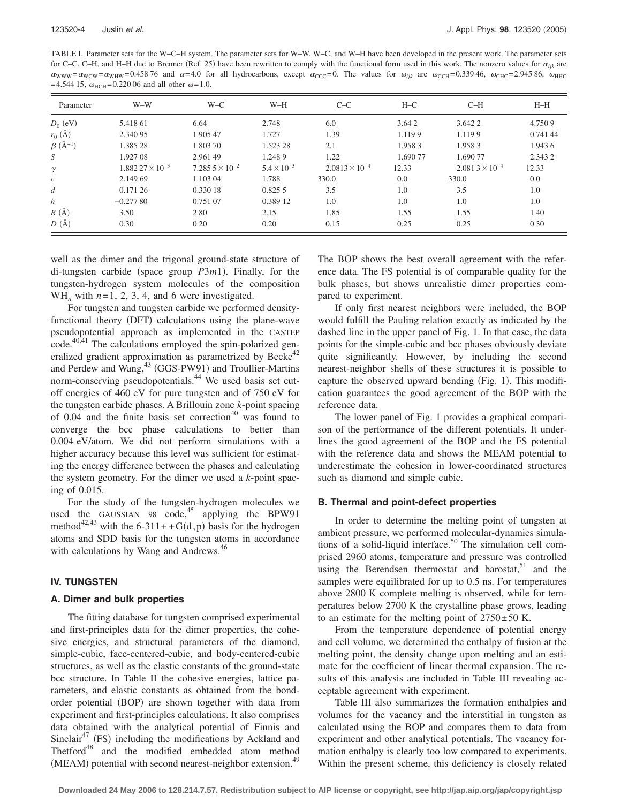TABLE I. Parameter sets for the W–C–H system. The parameter sets for W–W, W–C, and W–H have been developed in the present work. The parameter sets for C–C, C–H, and H–H due to Brenner (Ref. 25) have been rewritten to comply with the functional form used in this work. The nonzero values for  $\alpha_{ijk}$  are  $\alpha_{\text{WW}} = \alpha_{\text{WCW}} = \alpha_{\text{WHW}} = 0.45876$  and  $\alpha = 4.0$  for all hydrocarbons, except  $\alpha_{\text{CCC}} = 0$ . The values for  $\omega_{ik}$  are  $\omega_{\text{CCH}} = 0.33946$ ,  $\omega_{\text{CHC}} = 2.94586$ ,  $\omega_{\text{HHC}} = 0.45876$ =4.544 15,  $\omega_{\text{HCH}} = 0.22006$  and all other  $\omega = 1.0$ .

| Parameter                  | $W-W$                     | $W-C$                   | $W-H$                | $C-C$                   | $H-C$    | $C-H$                   | $H-H$    |
|----------------------------|---------------------------|-------------------------|----------------------|-------------------------|----------|-------------------------|----------|
| $D_0$ (eV)                 | 5.418 61                  | 6.64                    | 2.748                | 6.0                     | 3.64 2   | 3.642 2                 | 4.7509   |
| $r_0(A)$                   | 2.340 95                  | 1.905 47                | 1.727                | 1.39                    | 1.1199   | 1.1199                  | 0.741 44 |
| $\beta$ (Å <sup>-1</sup> ) | 1.385 28                  | 1.803 70                | 1.523 28             | 2.1                     | 1.9583   | 1.9583                  | 1.943 6  |
| S                          | 1.927 08                  | 2.961 49                | 1.2489               | 1.22                    | 1.690 77 | 1.690 77                | 2.343 2  |
| $\gamma$                   | $1.882\,27\times 10^{-3}$ | $7.2855 \times 10^{-2}$ | $5.4 \times 10^{-3}$ | $2.0813 \times 10^{-4}$ | 12.33    | $2.0813 \times 10^{-4}$ | 12.33    |
| $\mathcal C$               | 2.149 69                  | 1.103 04                | 1.788                | 330.0                   | 0.0      | 330.0                   | 0.0      |
| $\boldsymbol{d}$           | 0.171 26                  | 0.330 18                | 0.8255               | 3.5                     | 1.0      | 3.5                     | 1.0      |
| $\boldsymbol{h}$           | $-0.27780$                | 0.751 07                | 0.389 12             | 1.0                     | 1.0      | 1.0                     | 1.0      |
| $R(\AA)$                   | 3.50                      | 2.80                    | 2.15                 | 1.85                    | 1.55     | 1.55                    | 1.40     |
| $D(\AA)$                   | 0.30                      | 0.20                    | 0.20                 | 0.15                    | 0.25     | 0.25                    | 0.30     |

well as the dimer and the trigonal ground-state structure of di-tungsten carbide (space group *P3m1*). Finally, for the tungsten-hydrogen system molecules of the composition WH<sub>n</sub> with  $n=1, 2, 3, 4$ , and 6 were investigated.

For tungsten and tungsten carbide we performed densityfunctional theory (DFT) calculations using the plane-wave pseudopotential approach as implemented in the CASTEP code.<sup>40,41</sup> The calculations employed the spin-polarized generalized gradient approximation as parametrized by  $Becke^{42}$ and Perdew and Wang,<sup>43</sup> (GGS-PW91) and Troullier-Martins norm-conserving pseudopotentials.<sup>44</sup> We used basis set cutoff energies of 460 eV for pure tungsten and of 750 eV for the tungsten carbide phases. A Brillouin zone *k*-point spacing of  $0.04$  and the finite basis set correction<sup>40</sup> was found to converge the bcc phase calculations to better than 0.004 eV/atom. We did not perform simulations with a higher accuracy because this level was sufficient for estimating the energy difference between the phases and calculating the system geometry. For the dimer we used a *k*-point spacing of 0.015.

For the study of the tungsten-hydrogen molecules we used the GAUSSIAN 98  $code, ^{45}$  applying the BPW91 method<sup>42,43</sup> with the 6-311++G(d,p) basis for the hydrogen atoms and SDD basis for the tungsten atoms in accordance with calculations by Wang and Andrews.<sup>46</sup>

# **IV. TUNGSTEN**

#### **A. Dimer and bulk properties**

The fitting database for tungsten comprised experimental and first-principles data for the dimer properties, the cohesive energies, and structural parameters of the diamond, simple-cubic, face-centered-cubic, and body-centered-cubic structures, as well as the elastic constants of the ground-state bcc structure. In Table II the cohesive energies, lattice parameters, and elastic constants as obtained from the bondorder potential (BOP) are shown together with data from experiment and first-principles calculations. It also comprises data obtained with the analytical potential of Finnis and Sinclair $47$  (FS) including the modifications by Ackland and Thetford<sup>48</sup> and the modified embedded atom method (MEAM) potential with second nearest-neighbor extension.<sup>49</sup>

The BOP shows the best overall agreement with the reference data. The FS potential is of comparable quality for the bulk phases, but shows unrealistic dimer properties compared to experiment.

If only first nearest neighbors were included, the BOP would fulfill the Pauling relation exactly as indicated by the dashed line in the upper panel of Fig. 1. In that case, the data points for the simple-cubic and bcc phases obviously deviate quite significantly. However, by including the second nearest-neighbor shells of these structures it is possible to capture the observed upward bending (Fig. 1). This modification guarantees the good agreement of the BOP with the reference data.

The lower panel of Fig. 1 provides a graphical comparison of the performance of the different potentials. It underlines the good agreement of the BOP and the FS potential with the reference data and shows the MEAM potential to underestimate the cohesion in lower-coordinated structures such as diamond and simple cubic.

#### **B. Thermal and point-defect properties**

In order to determine the melting point of tungsten at ambient pressure, we performed molecular-dynamics simulations of a solid-liquid interface.<sup>50</sup> The simulation cell comprised 2960 atoms, temperature and pressure was controlled using the Berendsen thermostat and barostat, $51$  and the samples were equilibrated for up to 0.5 ns. For temperatures above 2800 K complete melting is observed, while for temperatures below 2700 K the crystalline phase grows, leading to an estimate for the melting point of  $2750 \pm 50$  K.

From the temperature dependence of potential energy and cell volume, we determined the enthalpy of fusion at the melting point, the density change upon melting and an estimate for the coefficient of linear thermal expansion. The results of this analysis are included in Table III revealing acceptable agreement with experiment.

Table III also summarizes the formation enthalpies and volumes for the vacancy and the interstitial in tungsten as calculated using the BOP and compares them to data from experiment and other analytical potentials. The vacancy formation enthalpy is clearly too low compared to experiments. Within the present scheme, this deficiency is closely related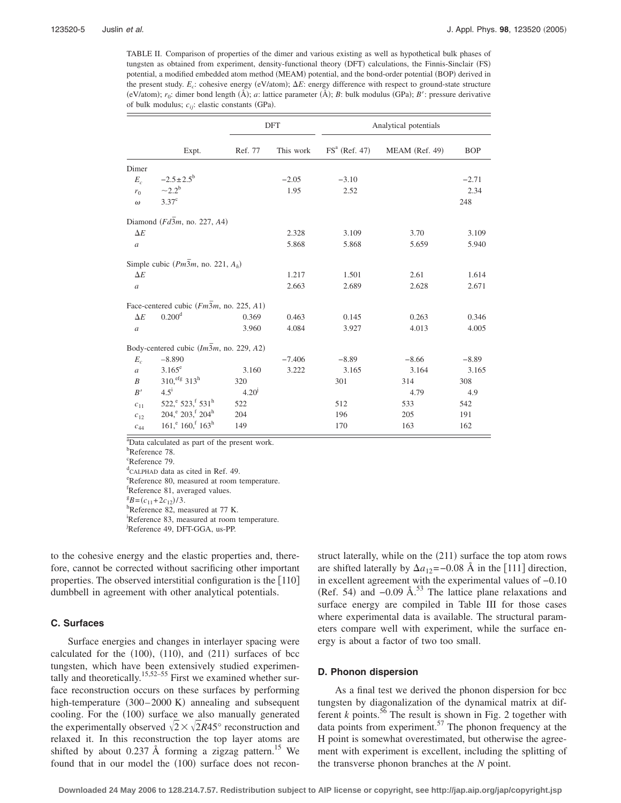TABLE II. Comparison of properties of the dimer and various existing as well as hypothetical bulk phases of tungsten as obtained from experiment, density-functional theory (DFT) calculations, the Finnis-Sinclair (FS) potential, a modified embedded atom method (MEAM) potential, and the bond-order potential (BOP) derived in the present study.  $E_c$ : cohesive energy (eV/atom);  $\Delta E$ : energy difference with respect to ground-state structure (eV/atom);  $r_0$ : dimer bond length ( $\AA$ ); *a*: lattice parameter ( $\AA$ ); *B*: bulk modulus (GPa); *B'*: pressure derivative of bulk modulus;  $c_{ij}$ : elastic constants (GPa).

|                  |                                                   |            | <b>DFT</b> |                 | Analytical potentials |            |  |
|------------------|---------------------------------------------------|------------|------------|-----------------|-----------------------|------------|--|
|                  | Expt.                                             | Ref. 77    | This work  | $FSa$ (Ref. 47) | MEAM (Ref. 49)        | <b>BOP</b> |  |
| Dimer            |                                                   |            |            |                 |                       |            |  |
| $E_c$            | $-2.5 \pm 2.5^{\rm b}$                            |            | $-2.05$    | $-3.10$         |                       | $-2.71$    |  |
| $r_0$            | $\sim$ 2.2 <sup>b</sup>                           |            | 1.95       | 2.52            |                       | 2.34       |  |
| $\omega$         | 3.37 <sup>c</sup>                                 |            |            |                 |                       | 248        |  |
|                  | Diamond ( $Fd\overline{3}m$ , no. 227, A4)        |            |            |                 |                       |            |  |
| $\Delta E$       |                                                   |            | 2.328      | 3.109           | 3.70                  | 3.109      |  |
| $\boldsymbol{a}$ |                                                   |            | 5.868      | 5.868           | 5.659                 | 5.940      |  |
|                  | Simple cubic $(Pm\overline{3}m,$ no. 221, $A_h$ ) |            |            |                 |                       |            |  |
| $\Delta E$       |                                                   |            | 1.217      | 1.501           | 2.61                  | 1.614      |  |
| $\boldsymbol{a}$ |                                                   |            | 2.663      | 2.689           | 2.628                 | 2.671      |  |
|                  | Face-centered cubic $(Fm3m, no. 225, A1)$         |            |            |                 |                       |            |  |
| $\Delta E$       | 0.200 <sup>d</sup>                                | 0.369      | 0.463      | 0.145           | 0.263                 | 0.346      |  |
| $\boldsymbol{a}$ |                                                   | 3.960      | 4.084      | 3.927           | 4.013                 | 4.005      |  |
|                  | Body-centered cubic (Im3m, no. 229, A2)           |            |            |                 |                       |            |  |
| $E_c$            | $-8.890$                                          |            | $-7.406$   | $-8.89$         | $-8.66$               | $-8.89$    |  |
| $\boldsymbol{a}$ | $3.165^e$                                         | 3.160      | 3.222      | 3.165           | 3.164                 | 3.165      |  |
| B                | $310, ^{efg} 313^h$                               | 320        |            | 301             | 314                   | 308        |  |
| B'               | $4.5^{i}$                                         | $4.20^{j}$ |            |                 | 4.79                  | 4.9        |  |
| $c_{11}$         | 522, \$523, \$531h                                | 522        |            | 512             | 533                   | 542        |  |
| $c_{12}$         | $204$ , $^e$ $203$ , $^f$ $204$ <sup>h</sup>      | 204        |            | 196             | 205                   | 191        |  |
| $c_{44}$         | $161$ , $^{e}$ $160$ , $^{f}$ $163$ <sup>h</sup>  | 149        |            | 170             | 163                   | 162        |  |

<sup>a</sup>Data calculated as part of the present work.

<sup>b</sup>Reference 78.

<sup>c</sup>Reference 79.

 $^{\text{d}}$ CALPHAD data as cited in Ref. 49. Reference 80, measured at room temperature. fReference 81, averaged values.  ${}^{g}B = (c_{11} + 2c_{12})/3.$ <sup>h</sup>Reference 82, measured at 77 K. Reference 83, measured at room temperature. j Reference 49, DFT-GGA, us-PP.

to the cohesive energy and the elastic properties and, therefore, cannot be corrected without sacrificing other important properties. The observed interstitial configuration is the  $[110]$ dumbbell in agreement with other analytical potentials.

# **C. Surfaces**

Surface energies and changes in interlayer spacing were calculated for the  $(100)$ ,  $(110)$ , and  $(211)$  surfaces of bcc tungsten, which have been extensively studied experimentally and theoretically.<sup>15,52–55</sup> First we examined whether surface reconstruction occurs on these surfaces by performing high-temperature (300–2000 K) annealing and subsequent cooling. For the (100) surface we also manually generated the experimentally observed  $\sqrt{2} \times \sqrt{2R45}$ ° reconstruction and relaxed it. In this reconstruction the top layer atoms are shifted by about 0.237 Å forming a zigzag pattern.<sup>15</sup> We found that in our model the (100) surface does not recon-

struct laterally, while on the (211) surface the top atom rows are shifted laterally by  $\Delta a_{12}$ =−0.08 Å in the [111] direction, in excellent agreement with the experimental values of −0.10 (Ref. 54) and  $-0.09 \text{ Å}^{.53}$  The lattice plane relaxations and surface energy are compiled in Table III for those cases where experimental data is available. The structural parameters compare well with experiment, while the surface energy is about a factor of two too small.

#### **D. Phonon dispersion**

As a final test we derived the phonon dispersion for bcc tungsten by diagonalization of the dynamical matrix at different  $k$  points.<sup>56</sup> The result is shown in Fig. 2 together with data points from experiment. $57$  The phonon frequency at the H point is somewhat overestimated, but otherwise the agreement with experiment is excellent, including the splitting of the transverse phonon branches at the *N* point.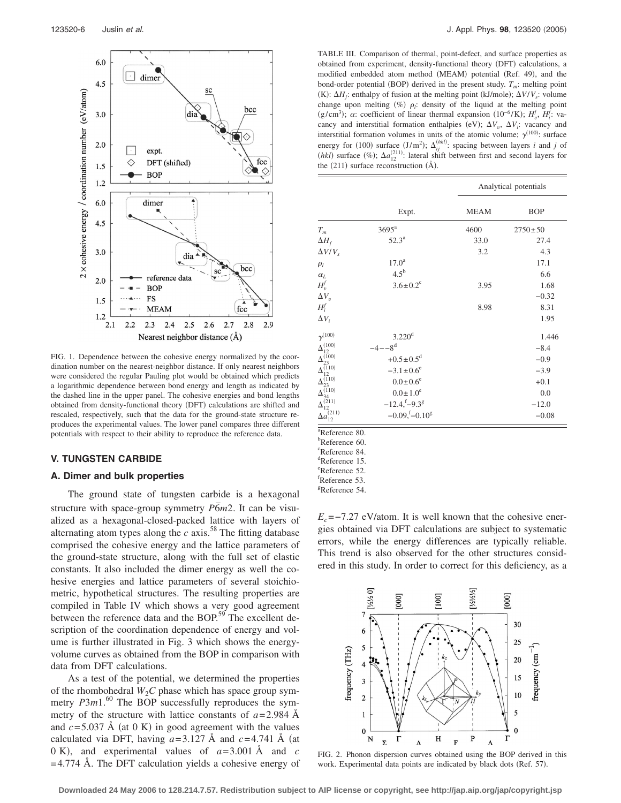

FIG. 1. Dependence between the cohesive energy normalized by the coordination number on the nearest-neighbor distance. If only nearest neighbors were considered the regular Pauling plot would be obtained which predicts a logarithmic dependence between bond energy and length as indicated by the dashed line in the upper panel. The cohesive energies and bond lengths obtained from density-functional theory (DFT) calculations are shifted and rescaled, respectively, such that the data for the ground-state structure reproduces the experimental values. The lower panel compares three different potentials with respect to their ability to reproduce the reference data.

# **V. TUNGSTEN CARBIDE**

#### **A. Dimer and bulk properties**

The ground state of tungsten carbide is a hexagonal structure with space-group symmetry  $P\bar{6}m2$ . It can be visualized as a hexagonal-closed-packed lattice with layers of alternating atom types along the  $c$  axis.<sup>58</sup> The fitting database comprised the cohesive energy and the lattice parameters of the ground-state structure, along with the full set of elastic constants. It also included the dimer energy as well the cohesive energies and lattice parameters of several stoichiometric, hypothetical structures. The resulting properties are compiled in Table IV which shows a very good agreement between the reference data and the BOP.<sup>59</sup> The excellent description of the coordination dependence of energy and volume is further illustrated in Fig. 3 which shows the energyvolume curves as obtained from the BOP in comparison with data from DFT calculations.

As a test of the potential, we determined the properties of the rhombohedral  $W_2C$  phase which has space group symmetry  $P3m1$ .<sup>60</sup> The BOP successfully reproduces the symmetry of the structure with lattice constants of  $a=2.984 \text{ Å}$ and  $c = 5.037$  Å (at 0 K) in good agreement with the values calculated via DFT, having  $a=3.127$  Å and  $c=4.741$  Å (at 0 K), and experimental values of  $a=3.001 \text{ Å}$  and *c*  $=4.774$  Å. The DFT calculation yields a cohesive energy of

TABLE III. Comparison of thermal, point-defect, and surface properties as obtained from experiment, density-functional theory (DFT) calculations, a modified embedded atom method (MEAM) potential (Ref. 49), and the bond-order potential (BOP) derived in the present study.  $T_m$ : melting point (K):  $\Delta H_f$ : enthalpy of fusion at the melting point (kJ/mole);  $\Delta V/V_s$ : volume change upon melting  $(\%)$   $\rho_i$ : density of the liquid at the melting point (g/cm<sup>3</sup>);  $\alpha$ : coefficient of linear thermal expansion (10<sup>-6</sup>/K);  $H_v^f$ ,  $H_i^f$ : vacancy and interstitial formation enthalpies (eV);  $\Delta V_v$ ,  $\Delta V_i$ : vacancy and interstitial formation volumes in units of the atomic volume;  $\gamma^{(100)}$ : surface energy for (100) surface  $(J/m^2)$ ;  $\Delta_{ij}^{(hkl)}$ : spacing between layers *i* and *j* of *(hkl)* surface (%);  $\Delta a_{12}^{(211)}$ : lateral shift between first and second layers for the  $(211)$  surface reconstruction  $(A)$ .

|                                                                                                                                                    |                                | Analytical potentials |               |  |  |
|----------------------------------------------------------------------------------------------------------------------------------------------------|--------------------------------|-----------------------|---------------|--|--|
|                                                                                                                                                    | Expt.                          | <b>MEAM</b>           | <b>BOP</b>    |  |  |
| $T_m$                                                                                                                                              | $3695^a$                       | 4600                  | $2750 \pm 50$ |  |  |
| $\Delta H_f$                                                                                                                                       | $52.3^{\rm a}$                 | 33.0                  | 27.4          |  |  |
| $\Delta V/V_s$                                                                                                                                     |                                | 3.2                   | 4.3           |  |  |
| $\rho_l$                                                                                                                                           | 17.0 <sup>a</sup>              |                       | 17.1          |  |  |
| $\alpha_L$                                                                                                                                         | $4.5^{\rm b}$                  |                       | 6.6           |  |  |
| $H_v^f$                                                                                                                                            | $3.6 \pm 0.2$ <sup>c</sup>     | 3.95                  | 1.68          |  |  |
| $\Delta V_v$                                                                                                                                       |                                |                       | $-0.32$       |  |  |
| $H_i^f$                                                                                                                                            |                                | 8.98                  | 8.31          |  |  |
| $\Delta V_i$                                                                                                                                       |                                |                       | 1.95          |  |  |
| $\gamma^{(100)}$                                                                                                                                   | $3.220$ <sup>d</sup>           |                       | 1.446         |  |  |
| $\Delta_{12}^{(100)}$                                                                                                                              | $4 - -8^d$                     |                       | $-8.4$        |  |  |
| $\Delta_{23}^{(\tilde{1}00)}$                                                                                                                      | $+0.5 \pm 0.5$ <sup>d</sup>    |                       | $-0.9$        |  |  |
|                                                                                                                                                    | $-3.1 \pm 0.6^e$               |                       | $-3.9$        |  |  |
|                                                                                                                                                    | $0.0 \pm 0.6^e$                |                       | $+0.1$        |  |  |
|                                                                                                                                                    | $0.0 \pm 1.0^e$                |                       | 0.0           |  |  |
| $\begin{array}{c}\n\Delta_{12}^{(110)} \\ \Delta_{23}^{(110)} \\ \Delta_{34}^{(110)} \\ \Delta_{12}^{(211)} \\ \Delta_{12}^{(211)} \\ \end{array}$ | $-12.4, -9.3$ <sup>g</sup>     |                       | $-12.0$       |  |  |
| $\Delta a_{12}^{(211)}$                                                                                                                            | $-0.09, ^f -0.10$ <sup>g</sup> |                       | $-0.08$       |  |  |
| <sup>a</sup> Reference 80.                                                                                                                         |                                |                       |               |  |  |

b Reference 60. c Reference 84.

d Reference 15.

e Reference 52.

f Reference 53.

g Reference 54.

*E<sub>c</sub>*=−7.27 eV/atom. It is well known that the cohesive energies obtained via DFT calculations are subject to systematic errors, while the energy differences are typically reliable. This trend is also observed for the other structures considered in this study. In order to correct for this deficiency, as a



FIG. 2. Phonon dispersion curves obtained using the BOP derived in this work. Experimental data points are indicated by black dots (Ref. 57).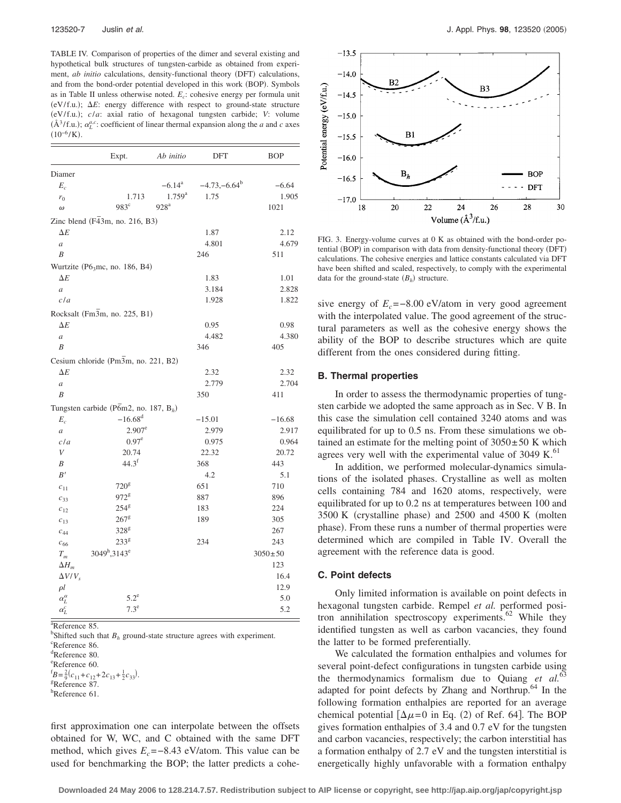TABLE IV. Comparison of properties of the dimer and several existing and hypothetical bulk structures of tungsten-carbide as obtained from experiment, *ab initio* calculations, density-functional theory (DFT) calculations, and from the bond-order potential developed in this work (BOP). Symbols as in Table II unless otherwise noted. *Ec*: cohesive energy per formula unit  $(eV/f.u.);$   $\Delta E$ : energy difference with respect to ground-state structure (eV/f.u.);  $c/a$ : axial ratio of hexagonal tungsten carbide; *V*: volume  $(\AA^3/f.u.); \alpha_L^{a,c}:$  coefficient of linear thermal expansion along the *a* and *c* axes  $(10^{-6}/K).$ 

|                     | Expt.                                                            | Ab initio          | DFT             | <b>BOP</b>    |
|---------------------|------------------------------------------------------------------|--------------------|-----------------|---------------|
| Diamer              |                                                                  |                    |                 |               |
| $E_c$               |                                                                  | $-6.14^a$          | $-4.73,-6.64^b$ | $-6.64$       |
| $r_0$               | 1.713                                                            | $1.759^{a}$        | 1.75            | 1.905         |
| $\omega$            | 983 <sup>c</sup>                                                 | $928^{\mathrm{a}}$ |                 | 1021          |
|                     | Zinc blend ( $F\overline{4}3m$ , no. 216, B3)                    |                    |                 |               |
| $\Delta E$          |                                                                  |                    | 1.87            | 2.12          |
| $\boldsymbol{a}$    |                                                                  |                    | 4.801           | 4.679         |
| B                   |                                                                  |                    | 246             | 511           |
|                     | Wurtzite (P6 <sub>3</sub> mc, no. 186, B4)                       |                    |                 |               |
| $\Delta E$          |                                                                  |                    | 1.83            | 1.01          |
| $\boldsymbol{a}$    |                                                                  |                    | 3.184           | 2.828         |
| c/a                 |                                                                  |                    | 1.928           | 1.822         |
|                     | Rocksalt (Fm3m, no. 225, B1)                                     |                    |                 |               |
| $\Delta E$          |                                                                  |                    | 0.95            | 0.98          |
| $\boldsymbol{a}$    |                                                                  |                    | 4.482           | 4.380         |
| $\cal B$            |                                                                  |                    | 346             | 405           |
|                     | Cesium chloride (Pm $\overline{3}$ m, no. 221, B2)               |                    |                 |               |
| $\Delta E$          |                                                                  |                    | 2.32            | 2.32          |
| $\boldsymbol{a}$    |                                                                  |                    | 2.779           | 2.704         |
| $\boldsymbol{B}$    |                                                                  |                    | 350             | 411           |
|                     | Tungsten carbide (P $\overline{6}$ m2, no. 187, B <sub>h</sub> ) |                    |                 |               |
| $E_c$               | $-16.68$ <sup>d</sup>                                            |                    | $-15.01$        | $-16.68$      |
| $\boldsymbol{a}$    | $2.907^e$                                                        |                    | 2.979           | 2.917         |
| c/a                 | $0.97^e$                                                         |                    | 0.975           | 0.964         |
| $\boldsymbol{V}$    | 20.74                                                            |                    | 22.32           | 20.72         |
| B                   | $44.3^{f}$                                                       |                    | 368             | 443           |
| B'                  |                                                                  |                    | 4.2             | 5.1           |
| $c_{11}$            | 720 <sup>g</sup>                                                 |                    | 651             | 710           |
| $c_{33}$            | 972 <sup>g</sup>                                                 |                    | 887             | 896           |
| $c_{12}$            | $254^{\circ}$                                                    |                    | 183             | 224           |
| $c_{13}$            | $267^g$                                                          |                    | 189             | 305           |
| $\mathcal{C}_{44}$  | $328^g$                                                          |                    |                 | 267           |
| $c_{66}$            | 233 <sup>g</sup>                                                 |                    | 234             | 243           |
| $T_m$               | $3049^{\rm h}$ , $3143^{\rm e}$                                  |                    |                 | $3050 \pm 50$ |
| $\Delta H_m$        |                                                                  |                    |                 | 123           |
| $\Delta V/V_s$      |                                                                  |                    |                 | 16.4          |
| $\mathcal{P}^l$     |                                                                  |                    |                 | 12.9          |
| $\alpha_L^{\alpha}$ | $5.2^e$                                                          |                    |                 | 5.0           |
| $\alpha_I^c$        | $7.3^e$                                                          |                    |                 | 5.2           |

<sup>a</sup>Reference 85.

<sup>b</sup>Shifted such that  $B_h$  ground-state structure agrees with experiment.

Reference 86.

e Reference 60.

 ${}^{f}B = \frac{2}{9}(c_{11} + c_{12} + 2c_{13} + \frac{1}{2}c_{33}).$ 

Reference 87.

h Reference 61.

first approximation one can interpolate between the offsets obtained for W, WC, and C obtained with the same DFT method, which gives *Ec*=−8.43 eV/atom. This value can be used for benchmarking the BOP; the latter predicts a cohe-



FIG. 3. Energy-volume curves at 0 K as obtained with the bond-order potential (BOP) in comparison with data from density-functional theory (DFT) calculations. The cohesive energies and lattice constants calculated via DFT have been shifted and scaled, respectively, to comply with the experimental data for the ground-state  $(B_h)$  structure.

sive energy of  $E_c = -8.00$  eV/atom in very good agreement with the interpolated value. The good agreement of the structural parameters as well as the cohesive energy shows the ability of the BOP to describe structures which are quite different from the ones considered during fitting.

# **B. Thermal properties**

In order to assess the thermodynamic properties of tungsten carbide we adopted the same approach as in Sec. V B. In this case the simulation cell contained 3240 atoms and was equilibrated for up to 0.5 ns. From these simulations we obtained an estimate for the melting point of  $3050 \pm 50$  K which agrees very well with the experimental value of  $3049 \text{ K}$ .<sup>61</sup>

In addition, we performed molecular-dynamics simulations of the isolated phases. Crystalline as well as molten cells containing 784 and 1620 atoms, respectively, were equilibrated for up to 0.2 ns at temperatures between 100 and 3500 K (crystalline phase) and 2500 and 4500 K (molten phase). From these runs a number of thermal properties were determined which are compiled in Table IV. Overall the agreement with the reference data is good.

# **C. Point defects**

Only limited information is available on point defects in hexagonal tungsten carbide. Rempel *et al.* performed positron annihilation spectroscopy experiments.<sup>62</sup> While they identified tungsten as well as carbon vacancies, they found the latter to be formed preferentially.

We calculated the formation enthalpies and volumes for several point-defect configurations in tungsten carbide using the thermodynamics formalism due to Quiang *et al.*<sup>63</sup> adapted for point defects by Zhang and Northrup. $64$  In the following formation enthalpies are reported for an average chemical potential  $[\Delta \mu=0$  in Eq. (2) of Ref. 64]. The BOP gives formation enthalpies of 3.4 and 0.7 eV for the tungsten and carbon vacancies, respectively; the carbon interstitial has a formation enthalpy of 2.7 eV and the tungsten interstitial is energetically highly unfavorable with a formation enthalpy

d Reference 80.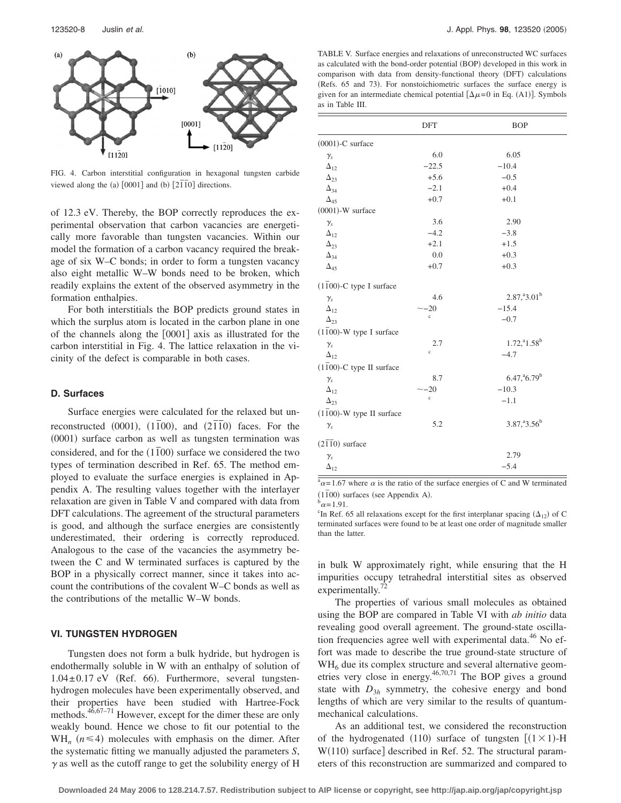

FIG. 4. Carbon interstitial configuration in hexagonal tungsten carbide viewed along the (a)  $[0001]$  and (b)  $[2\overline{110}]$  directions.

of 12.3 eV. Thereby, the BOP correctly reproduces the experimental observation that carbon vacancies are energetically more favorable than tungsten vacancies. Within our model the formation of a carbon vacancy required the breakage of six W–C bonds; in order to form a tungsten vacancy also eight metallic W–W bonds need to be broken, which readily explains the extent of the observed asymmetry in the formation enthalpies.

For both interstitials the BOP predicts ground states in which the surplus atom is located in the carbon plane in one of the channels along the  $[0001]$  axis as illustrated for the carbon interstitial in Fig. 4. The lattice relaxation in the vicinity of the defect is comparable in both cases.

# **D. Surfaces**

Surface energies were calculated for the relaxed but unreconstructed  $(0001)$ ,  $(1\overline{1}00)$ , and  $(2\overline{1}10)$  faces. For the (0001) surface carbon as well as tungsten termination was considered, and for the  $(1\overline{1}00)$  surface we considered the two types of termination described in Ref. 65. The method employed to evaluate the surface energies is explained in Appendix A. The resulting values together with the interlayer relaxation are given in Table V and compared with data from DFT calculations. The agreement of the structural parameters is good, and although the surface energies are consistently underestimated, their ordering is correctly reproduced. Analogous to the case of the vacancies the asymmetry between the C and W terminated surfaces is captured by the BOP in a physically correct manner, since it takes into account the contributions of the covalent W–C bonds as well as the contributions of the metallic W–W bonds.

## **VI. TUNGSTEN HYDROGEN**

Tungsten does not form a bulk hydride, but hydrogen is endothermally soluble in W with an enthalpy of solution of  $1.04 \pm 0.17$  eV (Ref. 66). Furthermore, several tungstenhydrogen molecules have been experimentally observed, and their properties have been studied with Hartree-Fock methods.46,67–71 However, except for the dimer these are only weakly bound. Hence we chose to fit our potential to the  $WH_n$  ( $n \leq 4$ ) molecules with emphasis on the dimer. After the systematic fitting we manually adjusted the parameters *S*,  $\gamma$  as well as the cutoff range to get the solubility energy of H

TABLE V. Surface energies and relaxations of unreconstructed WC surfaces as calculated with the bond-order potential (BOP) developed in this work in comparison with data from density-functional theory (DFT) calculations (Refs. 65 and 73). For nonstoichiometric surfaces the surface energy is given for an intermediate chemical potential  $[\Delta \mu=0$  in Eq. (A1)]. Symbols as in Table III.

|                                        | <b>DFT</b> | <b>BOP</b>                              |
|----------------------------------------|------------|-----------------------------------------|
| $(0001)$ -C surface                    |            |                                         |
| $\gamma_{s}$                           | 6.0        | 6.05                                    |
| $\Delta_{12}$                          | $-22.5$    | $-10.4$                                 |
| $\Delta_{23}$                          | $+5.6$     | $-0.5$                                  |
| $\Delta_{34}$                          | $-2.1$     | $+0.4$                                  |
| $\Delta_{45}$                          | $+0.7$     | $+0.1$                                  |
| $(0001)$ -W surface                    |            |                                         |
| $\gamma_{\scriptscriptstyle S}$        | 3.6        | 2.90                                    |
| $\Delta_{12}$                          | $-4.2$     | $-3.8$                                  |
| $\Delta_{23}$                          | $+2.1$     | $+1.5$                                  |
| $\Delta_{34}$                          | 0.0        | $+0.3$                                  |
| $\Delta_{45}$                          | $+0.7$     | $+0.3$                                  |
| $(1\bar{1}00)$ -C type I surface       |            |                                         |
| $\gamma_{s}$                           | 4.6        | $2.87$ <sup>4</sup> $3.01$ <sup>b</sup> |
| $\Delta_{12}$                          | $-20$      | $-15.4$                                 |
| $\Delta_{23}$                          | c          | $-0.7$                                  |
| $(1100)$ -W type I surface             |            |                                         |
| $\gamma_{s}$                           | 2.7        | $1.72$ <sup>a</sup> $1.58$ <sup>b</sup> |
| $\Delta_{12}$                          | $\rm _c$   | $-4.7$                                  |
| $(1\bar{1}00)$ -C type II surface      |            |                                         |
| $\gamma_{s}$                           | 8.7        | $6.47, ^{a}6.79$ <sup>b</sup>           |
| $\Delta_{12}$                          | $\sim -20$ | $-10.3$                                 |
| $\Delta_{23}$                          | $\rm _c$   | $-1.1$                                  |
| $(1\overline{1}00)$ -W type II surface |            |                                         |
| $\gamma_s$                             | 5.2        | $3.87$ <sup>4</sup> $3.56$ <sup>b</sup> |
| $(2\overline{1}10)$ surface            |            |                                         |
| $\gamma_{s}$                           |            | 2.79                                    |
| $\Delta_{12}$                          |            | $-5.4$                                  |

 $a^{\overline{a}}\alpha = 1.67$  where  $\alpha$  is the ratio of the surface energies of C and W terminated  $(1\overline{1}00)$  surfaces (see Appendix A).

 $^{\circ}$   $\alpha$  = 1.91.

In Ref. 65 all relaxations except for the first interplanar spacing  $(\Delta_{12})$  of C terminated surfaces were found to be at least one order of magnitude smaller than the latter.

in bulk W approximately right, while ensuring that the H impurities occupy tetrahedral interstitial sites as observed experimentally.

The properties of various small molecules as obtained using the BOP are compared in Table VI with *ab initio* data revealing good overall agreement. The ground-state oscillation frequencies agree well with experimental data.<sup>46</sup> No effort was made to describe the true ground-state structure of  $WH<sub>6</sub>$  due its complex structure and several alternative geometries very close in energy.46,70,71 The BOP gives a ground state with  $D_{3h}$  symmetry, the cohesive energy and bond lengths of which are very similar to the results of quantummechanical calculations.

As an additional test, we considered the reconstruction of the hydrogenated (110) surface of tungsten  $[(1 \times 1)$ -H W(110) surface] described in Ref. 52. The structural parameters of this reconstruction are summarized and compared to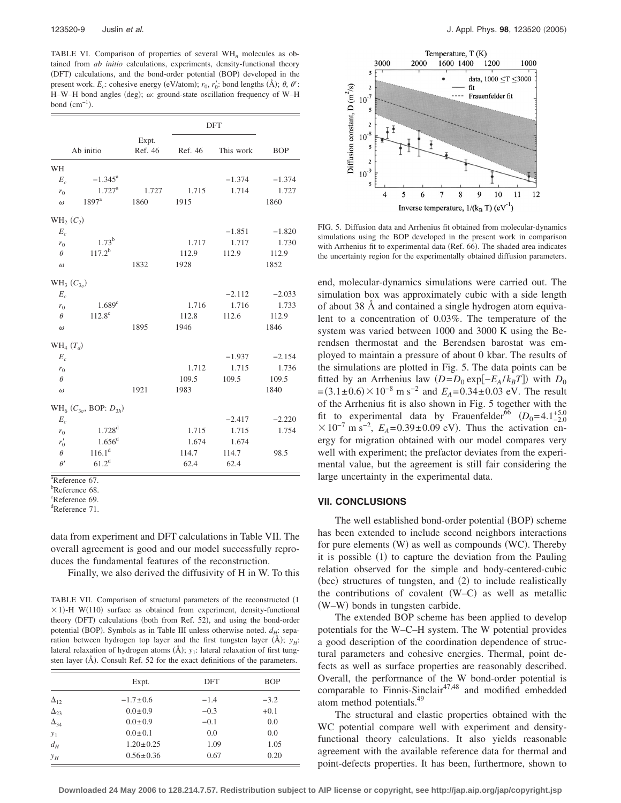TABLE VI. Comparison of properties of several WH*<sup>n</sup>* molecules as obtained from *ab initio* calculations, experiments, density-functional theory (DFT) calculations, and the bond-order potential (BOP) developed in the present work.  $E_c$ : cohesive energy (eV/atom);  $r_0$ ,  $r'_0$ : bond lengths (Å);  $\theta$ ,  $\theta'$ : H-W-H bond angles (deg);  $\omega$ : ground-state oscillation frequency of W-H bond  $(cm<sup>-1</sup>)$ .

|             |                             |                  | <b>DFT</b> |           |            |
|-------------|-----------------------------|------------------|------------|-----------|------------|
|             | Ab initio                   | Expt.<br>Ref. 46 | Ref. 46    | This work | <b>BOP</b> |
| WH          |                             |                  |            |           |            |
| $E_c$       | $-1.345^{\rm a}$            |                  |            | $-1.374$  | $-1.374$   |
| $r_0$       | $1.727^{\rm a}$             | 1.727            | 1.715      | 1.714     | 1.727      |
| $\omega$    | $1897^{\rm a}$              | 1860             | 1915       |           | 1860       |
| $WH_2(C_2)$ |                             |                  |            |           |            |
| $E_c$       |                             |                  |            | $-1.851$  | $-1.820$   |
| $r_0$       | $1.73^{b}$                  |                  | 1.717      | 1.717     | 1.730      |
| $\theta$    | $117.2^b$                   |                  | 112.9      | 112.9     | 112.9      |
| $\omega$    |                             | 1832             | 1928       |           | 1852       |
|             | $WH_3(C_{3v})$              |                  |            |           |            |
| $E_c$       |                             |                  |            | $-2.112$  | $-2.033$   |
| $r_0$       | 1.689 <sup>c</sup>          |                  | 1.716      | 1.716     | 1.733      |
| $\theta$    | $112.8^{\circ}$             |                  | 112.8      | 112.6     | 112.9      |
| $\omega$    |                             | 1895             | 1946       |           | 1846       |
| $WH_4(T_d)$ |                             |                  |            |           |            |
| $E_c$       |                             |                  |            | $-1.937$  | $-2.154$   |
| $r_0$       |                             |                  | 1.712      | 1.715     | 1.736      |
| $\theta$    |                             |                  | 109.5      | 109.5     | 109.5      |
| ω           |                             | 1921             | 1983       |           | 1840       |
|             | $WH_6(C_{3v}, BOP: D_{3h})$ |                  |            |           |            |
| $E_c$       |                             |                  |            | $-2.417$  | $-2.220$   |
| $r_0$       | $1.728$ <sup>d</sup>        |                  | 1.715      | 1.715     | 1.754      |
| $r'_0$      | $1.656^d$                   |                  | 1.674      | 1.674     |            |
| $\theta$    | $116.1^d$                   |                  | 114.7      | 114.7     | 98.5       |
| $\theta'$   | $61.2^{d}$                  |                  | 62.4       | 62.4      |            |
|             | $a_{Doforanao}$ 67          |                  |            |           |            |

Reference 67.

b Reference 68.

<sup>c</sup>Reference 69.

d Reference 71.

data from experiment and DFT calculations in Table VII. The overall agreement is good and our model successfully reproduces the fundamental features of the reconstruction.

Finally, we also derived the diffusivity of H in W. To this

TABLE VII. Comparison of structural parameters of the reconstructed (1)  $\times$  1)-H W(110) surface as obtained from experiment, density-functional theory (DFT) calculations (both from Ref. 52), and using the bond-order potential (BOP). Symbols as in Table III unless otherwise noted.  $d_H$ : separation between hydrogen top layer and the first tungsten layer  $(\hat{A})$ ;  $y_H$ : lateral relaxation of hydrogen atoms  $(A)$ ;  $y_1$ : lateral relaxation of first tungsten layer  $(A)$ . Consult Ref. 52 for the exact definitions of the parameters.

|               | Expt.           | DFT    | <b>BOP</b> |
|---------------|-----------------|--------|------------|
| $\Delta_{12}$ | $-1.7 \pm 0.6$  | $-1.4$ | $-3.2$     |
| $\Delta_{23}$ | $0.0 \pm 0.9$   | $-0.3$ | $+0.1$     |
| $\Delta_{34}$ | $0.0 \pm 0.9$   | $-0.1$ | 0.0        |
| $y_1$         | $0.0 \pm 0.1$   | 0.0    | 0.0        |
| $d_H$         | $1.20 \pm 0.25$ | 1.09   | 1.05       |
| $y_H$         | $0.56 \pm 0.36$ | 0.67   | 0.20       |



FIG. 5. Diffusion data and Arrhenius fit obtained from molecular-dynamics simulations using the BOP developed in the present work in comparison with Arrhenius fit to experimental data (Ref. 66). The shaded area indicates the uncertainty region for the experimentally obtained diffusion parameters.

end, molecular-dynamics simulations were carried out. The simulation box was approximately cubic with a side length of about 38 Å and contained a single hydrogen atom equivalent to a concentration of 0.03%. The temperature of the system was varied between 1000 and 3000 K using the Berendsen thermostat and the Berendsen barostat was employed to maintain a pressure of about 0 kbar. The results of the simulations are plotted in Fig. 5. The data points can be fitted by an Arrhenius law  $(D=D_0 \exp[-E_A/k_B T])$  with  $D_0$  $=(3.1\pm0.6)\times10^{-8}$  m s<sup>-2</sup> and  $E_A=0.34\pm0.03$  eV. The result of the Arrhenius fit is also shown in Fig. 5 together with the fit to experimental data by Frauenfelder<sup>66</sup>  $(D_0=4.1^{+5.0}_{-2.0})$  $\times 10^{-7}$  m s<sup>-2</sup>,  $E_A = 0.39 \pm 0.09$  eV). Thus the activation energy for migration obtained with our model compares very well with experiment; the prefactor deviates from the experimental value, but the agreement is still fair considering the large uncertainty in the experimental data.

# **VII. CONCLUSIONS**

The well established bond-order potential (BOP) scheme has been extended to include second neighbors interactions for pure elements (W) as well as compounds (WC). Thereby it is possible (1) to capture the deviation from the Pauling relation observed for the simple and body-centered-cubic (bcc) structures of tungsten, and (2) to include realistically the contributions of covalent (W-C) as well as metallic W–W- bonds in tungsten carbide.

The extended BOP scheme has been applied to develop potentials for the W–C–H system. The W potential provides a good description of the coordination dependence of structural parameters and cohesive energies. Thermal, point defects as well as surface properties are reasonably described. Overall, the performance of the W bond-order potential is comparable to Finnis-Sinclair<sup>47,48</sup> and modified embedded atom method potentials.49

The structural and elastic properties obtained with the WC potential compare well with experiment and densityfunctional theory calculations. It also yields reasonable agreement with the available reference data for thermal and point-defects properties. It has been, furthermore, shown to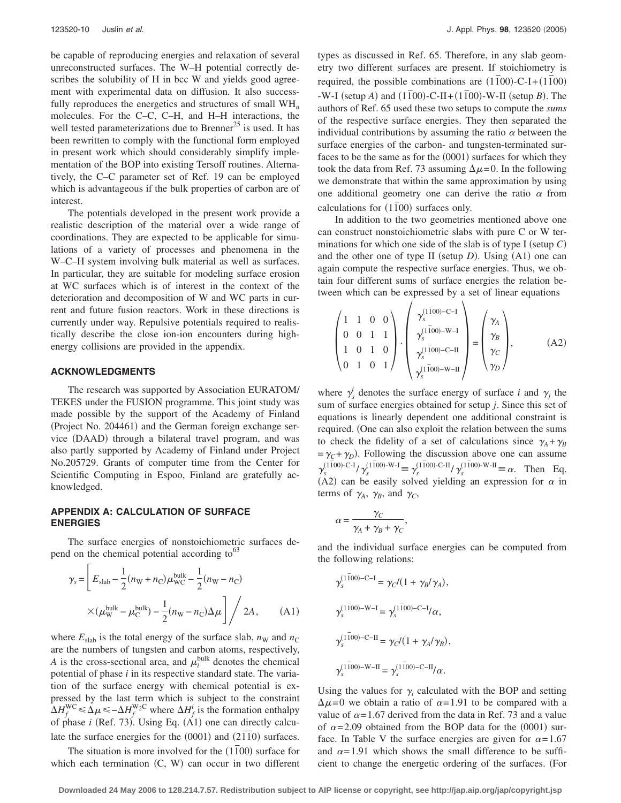be capable of reproducing energies and relaxation of several unreconstructed surfaces. The W–H potential correctly describes the solubility of H in bcc W and yields good agreement with experimental data on diffusion. It also successfully reproduces the energetics and structures of small WH*<sup>n</sup>* molecules. For the C–C, C–H, and H–H interactions, the well tested parameterizations due to Brenner<sup>25</sup> is used. It has been rewritten to comply with the functional form employed in present work which should considerably simplify implementation of the BOP into existing Tersoff routines. Alternatively, the C–C parameter set of Ref. 19 can be employed which is advantageous if the bulk properties of carbon are of interest.

The potentials developed in the present work provide a realistic description of the material over a wide range of coordinations. They are expected to be applicable for simulations of a variety of processes and phenomena in the W–C–H system involving bulk material as well as surfaces. In particular, they are suitable for modeling surface erosion at WC surfaces which is of interest in the context of the deterioration and decomposition of W and WC parts in current and future fusion reactors. Work in these directions is currently under way. Repulsive potentials required to realistically describe the close ion-ion encounters during highenergy collisions are provided in the appendix.

## **ACKNOWLEDGMENTS**

The research was supported by Association EURATOM/ TEKES under the FUSION programme. This joint study was made possible by the support of the Academy of Finland (Project No. 204461) and the German foreign exchange service (DAAD) through a bilateral travel program, and was also partly supported by Academy of Finland under Project No.205729. Grants of computer time from the Center for Scientific Computing in Espoo, Finland are gratefully acknowledged.

# **APPENDIX A: CALCULATION OF SURFACE ENERGIES**

The surface energies of nonstoichiometric surfaces depend on the chemical potential according to<sup>63</sup>

$$
\gamma_{s} = \left[ E_{\text{slab}} - \frac{1}{2} (n_{\text{W}} + n_{\text{C}}) \mu_{\text{WC}}^{\text{bulk}} - \frac{1}{2} (n_{\text{W}} - n_{\text{C}}) \right]
$$

$$
\times (\mu_{\text{W}}^{\text{bulk}} - \mu_{\text{C}}^{\text{bulk}}) - \frac{1}{2} (n_{\text{W}} - n_{\text{C}}) \Delta \mu \right] / 2A, \qquad (A1)
$$

where  $E_{\text{slab}}$  is the total energy of the surface slab,  $n_{\text{W}}$  and  $n_{\text{C}}$ are the numbers of tungsten and carbon atoms, respectively, *A* is the cross-sectional area, and  $\mu_i^{\text{bulk}}$  denotes the chemical potential of phase *i* in its respective standard state. The variation of the surface energy with chemical potential is expressed by the last term which is subject to the constraint  $\Delta H_f^{WC}$  ≤  $\Delta \mu$  ≤  $-\Delta H_f^{W_2C}$  where  $\Delta H_f^i$  is the formation enthalpy of phase  $i$  (Ref. 73). Using Eq.  $(A1)$  one can directly calculate the surface energies for the  $(0001)$  and  $(2\overline{11}0)$  surfaces.

The situation is more involved for the  $(1\bar{1}00)$  surface for which each termination  $(C, W)$  can occur in two different types as discussed in Ref. 65. Therefore, in any slab geometry two different surfaces are present. If stoichiometry is required, the possible combinations are  $(1\overline{1}00)$ -C-I+ $(1\overline{1}00)$  $-W-I$  (setup *A*) and (1<sup>1</sup><sup>0</sup>0)-C-II+(1<sup>1</sup><sup>0</sup><sup>0</sup>)-W-II (setup *B*). The authors of Ref. 65 used these two setups to compute the *sums* of the respective surface energies. They then separated the individual contributions by assuming the ratio  $\alpha$  between the surface energies of the carbon- and tungsten-terminated surfaces to be the same as for the (0001) surfaces for which they took the data from Ref. 73 assuming  $\Delta \mu = 0$ . In the following we demonstrate that within the same approximation by using one additional geometry one can derive the ratio  $\alpha$  from calculations for  $(1\bar{1}00)$  surfaces only.

In addition to the two geometries mentioned above one can construct nonstoichiometric slabs with pure C or W terminations for which one side of the slab is of type I (setup  $C$ ) and the other one of type II (setup  $D$ ). Using  $(A1)$  one can again compute the respective surface energies. Thus, we obtain four different sums of surface energies the relation between which can be expressed by a set of linear equations

$$
\begin{pmatrix}\n1 & 1 & 0 & 0 \\
0 & 0 & 1 & 1 \\
1 & 0 & 1 & 0 \\
0 & 1 & 0 & 1\n\end{pmatrix}\n\cdot\n\begin{pmatrix}\n\gamma_s^{(1\bar{1}00)-C-I} \\
\gamma_s^{(1\bar{1}00)-W-I} \\
\gamma_s^{(1\bar{1}00)-C-II} \\
\gamma_s^{(1\bar{1}00)-W-II}\n\end{pmatrix}\n=\n\begin{pmatrix}\n\gamma_A \\
\gamma_B \\
\gamma_C \\
\gamma_D\n\end{pmatrix},
$$
\n(A2)

where  $\gamma_s^i$  denotes the surface energy of surface *i* and  $\gamma_j$  the sum of surface energies obtained for setup *j*. Since this set of equations is linearly dependent one additional constraint is required. One can also exploit the relation between the sums to check the fidelity of a set of calculations since  $\gamma_A + \gamma_B$  $=\gamma_{C} + \gamma_{D}$ ). Following the discussion above one can assume  $\gamma_{s}$  $\frac{(1100)-C-1}{s}$ / $\gamma_s$  $\gamma_s^{(1\bar{1}00)-W-I} \equiv \gamma_s^{(1\bar{1}00)-W-I}$  $\frac{(1100)}{s}$ -C-II<sub>/</sub> $\gamma_s^($  $\lim_{\alpha \to 0} \frac{\alpha}{\alpha}$  one can assume (A2) can be easily solved yielding an expression for  $\alpha$  in terms of  $\gamma_A$ ,  $\gamma_B$ , and  $\gamma_C$ ,

$$
\alpha = \frac{\gamma_C}{\gamma_A + \gamma_B + \gamma_C},
$$

and the individual surface energies can be computed from the following relations:

$$
\gamma_s^{(1\bar{1}00)-C-I} = \gamma_C/(1 + \gamma_B/\gamma_A),
$$
  

$$
\gamma_s^{(1\bar{1}00)-W-I} = \gamma_s^{(1\bar{1}00)-C-I}/\alpha,
$$
  

$$
\gamma_s^{(1\bar{1}00)-C-II} = \gamma_C/(1 + \gamma_A/\gamma_B),
$$
  

$$
\gamma_s^{(1\bar{1}00)-W-II} = \gamma_s^{(1\bar{1}00)-C-II}/\alpha.
$$

Using the values for  $\gamma_i$  calculated with the BOP and setting  $\Delta \mu$ =0 we obtain a ratio of  $\alpha$ =1.91 to be compared with a value of  $\alpha$ =1.67 derived from the data in Ref. 73 and a value of  $\alpha$ =2.09 obtained from the BOP data for the (0001) surface. In Table V the surface energies are given for  $\alpha = 1.67$ and  $\alpha$ =1.91 which shows the small difference to be sufficient to change the energetic ordering of the surfaces. For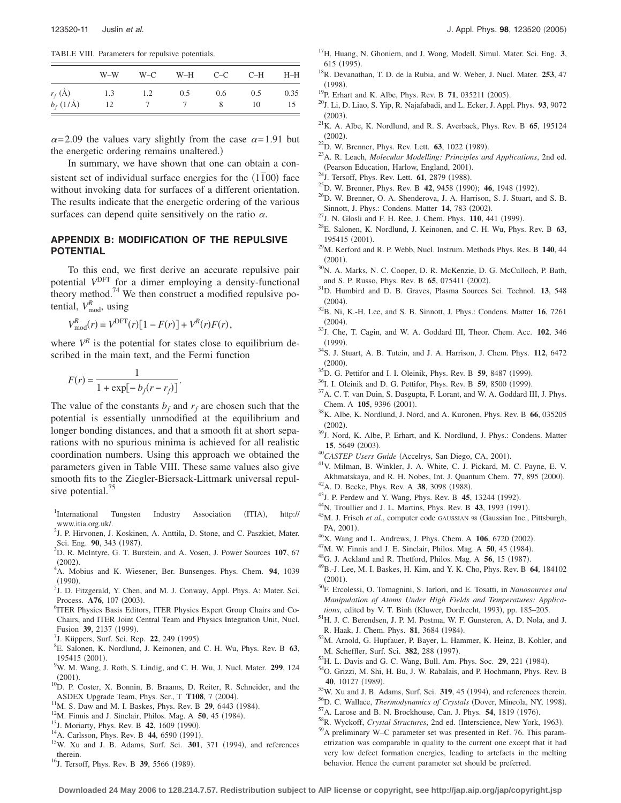TABLE VIII. Parameters for repulsive potentials.

|                     | W-W |     | W–C W–H C–C C–H H–H |     |     |      |
|---------------------|-----|-----|---------------------|-----|-----|------|
| $r_f(A)$            | 1.3 | 1.2 | 0.5                 | 0.6 | 0.5 | 0.35 |
| $b_f(1/\text{\AA})$ | 12  |     |                     | 8   | 10  |      |

 $\alpha$ =2.09 the values vary slightly from the case  $\alpha$ =1.91 but the energetic ordering remains unaltered.)

In summary, we have shown that one can obtain a consistent set of individual surface energies for the  $(1\bar{1}00)$  face without invoking data for surfaces of a different orientation. The results indicate that the energetic ordering of the various surfaces can depend quite sensitively on the ratio  $\alpha$ .

# **APPENDIX B: MODIFICATION OF THE REPULSIVE POTENTIAL**

To this end, we first derive an accurate repulsive pair potential *V*DFT for a dimer employing a density-functional theory method.<sup>74</sup> We then construct a modified repulsive potential,  $V_{\text{mod}}^R$ , using

$$
V_{\text{mod}}^{R}(r) = V^{\text{DFT}}(r)[1 - F(r)] + V^{R}(r)F(r),
$$

where  $V^R$  is the potential for states close to equilibrium described in the main text, and the Fermi function

$$
F(r) = \frac{1}{1 + \exp[-b_f(r - r_f)]}.
$$

The value of the constants  $b_f$  and  $r_f$  are chosen such that the potential is essentially unmodified at the equilibrium and longer bonding distances, and that a smooth fit at short separations with no spurious minima is achieved for all realistic coordination numbers. Using this approach we obtained the parameters given in Table VIII. These same values also give smooth fits to the Ziegler-Biersack-Littmark universal repulsive potential.<sup>75</sup>

- <sup>1</sup>International Tungsten Industry Association (ITIA)  $(ITIA)$ , http:// www.itia.org.uk/.
- 2 J. P. Hirvonen, J. Koskinen, A. Anttila, D. Stone, and C. Paszkiet, Mater. Sci. Eng. **90**, 343 (1987).
- D. R. McIntyre, G. T. Burstein, and A. Vosen, J. Power Sources **107**, 67  $(2002).$
- . <sup>4</sup> A. Mobius and K. Wiesener, Ber. Bunsenges. Phys. Chem. **94**, 1039  $(1990)$ .<br> $5<sub>L</sub>$  D E
- <sup>5</sup>J. D. Fitzgerald, Y. Chen, and M. J. Conway, Appl. Phys. A: Mater. Sci. Process. **A76**, 107 (2003).
- <sup>6</sup>ITER Physics Basis Editors, ITER Physics Expert Group Chairs and Co-Chairs, and ITER Joint Central Team and Physics Integration Unit, Nucl. Fusion **39**, 2137 (1999).
- <sup>7</sup>J. Küppers, Surf. Sci. Rep. **22**, 249 (1995).
- E. Salonen, K. Nordlund, J. Keinonen, and C. H. Wu, Phys. Rev. B **63**,  $^{195415}$  (2001).
- W. M. Wang, J. Roth, S. Lindig, and C. H. Wu, J. Nucl. Mater. **299**, 124  $(2001)$ .
- <sup>10</sup>D. P. Coster, X. Bonnin, B. Braams, D. Reiter, R. Schneider, and the ASDEX Upgrade Team, Phys. Scr., T T108, 7 (2004).
- <sup>11</sup>M. S. Daw and M. I. Baskes, Phys. Rev. B **29**, 6443 (1984). <sup>11</sup>M. S. Daw and M. I. Baskes, Phys. Rev. B **29**, 6443 (1984).<br><sup>12</sup>M. Finnis and J. Sinclair, Philos. Mag. A **50**, 45 (1984).
- <sup>12</sup>M. Finnis and J. Sinclair, Philos. Mag. A **50**, 45 (1984).<br><sup>13</sup>J. Moriarty, Phys. Rev. B **42**, 1609 (1990).
- <sup>13</sup>J. Moriarty, Phys. Rev. B **42**, 1609 (1990).<br><sup>14</sup>A. Carlsson, Phys. Rev. B **44**, 6590 (1991).

<sup>16</sup>J. Tersoff, Phys. Rev. B **39**, 5566 (1989).

- 
- <sup>14</sup>A. Carlsson, Phys. Rev. B 44, 6590 (1991).<br><sup>15</sup>W. Xu and J. B. Adams, Surf. Sci. **301**, 371 (1994), and references therein.
- <sup>19</sup>P. Erhart and K. Albe, Phys. Rev. B **71**, 035211 (2005). 20J. Li, D. Liao, S. Yip, R. Najafabadi, and L. Ecker, J. Appl. Phys. **93**, 9072
- $(2003).$ 21K. A. Albe, K. Nordlund, and R. S. Averback, Phys. Rev. B **65**, 195124  $(2002).$

17H. Huang, N. Ghoniem, and J. Wong, Modell. Simul. Mater. Sci. Eng. **3**,

18R. Devanathan, T. D. de la Rubia, and W. Weber, J. Nucl. Mater. **253**, 47

- <sup>22</sup>D. W. Brenner, Phys. Rev. Lett. **63**, 1022 (1989).
- 23A. R. Leach, *Molecular Modelling: Principles and Applications*, 2nd ed. (Pearson Education, Harlow, England, 2001).
- <sup>24</sup>J. Tersoff, Phys. Rev. Lett. **61**, 2879 (1988).

615 (1995).

 $(1998).$ 

- <sup>25</sup>D. W. Brenner, Phys. Rev. B **42**, 9458 (1990); **46**, 1948 (1992).
- 26D. W. Brenner, O. A. Shenderova, J. A. Harrison, S. J. Stuart, and S. B. Sinnott, J. Phys.: Condens. Matter 14, 783 (2002).
- $^{27}$ J. N. Glosli and F. H. Ree, J. Chem. Phys. **110**, 441 (1999).
- 28E. Salonen, K. Nordlund, J. Keinonen, and C. H. Wu, Phys. Rev. B **63**, 195415 (2001).
- 29M. Kerford and R. P. Webb, Nucl. Instrum. Methods Phys. Res. B **140**, 44  $(2001).$
- $30$ N. A. Marks, N. C. Cooper, D. R. McKenzie, D. G. McCulloch, P. Bath, and S. P. Russo, Phys. Rev. B 65, 075411 (2002).
- 31D. Humbird and D. B. Graves, Plasma Sources Sci. Technol. **13**, 548  $(2004).$
- 32B. Ni, K.-H. Lee, and S. B. Sinnott, J. Phys.: Condens. Matter **16**, 7261  $(2004).$
- 33J. Che, T. Cagin, and W. A. Goddard III, Theor. Chem. Acc. **102**, 346  $(1999).$
- 34S. J. Stuart, A. B. Tutein, and J. A. Harrison, J. Chem. Phys. **112**, 6472  $(2000).$
- <sup>35</sup>D. G. Pettifor and I. I. Oleinik, Phys. Rev. B **59**, 8487 (1999).
- <sup>36</sup>I. I. Oleinik and D. G. Pettifor, Phys. Rev. B **59**, 8500 (1999).
- <sup>37</sup>A. C. T. van Duin, S. Dasgupta, F. Lorant, and W. A. Goddard III, J. Phys. Chem. A 105, 9396 (2001).
- 38K. Albe, K. Nordlund, J. Nord, and A. Kuronen, Phys. Rev. B **66**, 035205  $(2002).$
- 39J. Nord, K. Albe, P. Erhart, and K. Nordlund, J. Phys.: Condens. Matter 15, 5649 (2003).
- <sup>40</sup>CASTEP Users Guide (Accelrys, San Diego, CA, 2001).
- 41V. Milman, B. Winkler, J. A. White, C. J. Pickard, M. C. Payne, E. V. Akhmatskaya, and R. H. Nobes, Int. J. Quantum Chem. 77, 895 (2000).
- <sup>42</sup>A. D. Becke, Phys. Rev. A **38**, 3098 (1988).
- <sup>43</sup>J. P. Perdew and Y. Wang, Phys. Rev. B **45**, 13244 (1992).
- <sup>44</sup>N. Troullier and J. L. Martins, Phys. Rev. B **43**, 1993 (1991).
- <sup>45</sup>M. J. Frisch et al., computer code GAUSSIAN 98 (Gaussian Inc., Pittsburgh, PA, 2001).
- <sup>46</sup>X. Wang and L. Andrews, J. Phys. Chem. A **106**, 6720 (2002).
- <sup>47</sup>M. W. Finnis and J. E. Sinclair, Philos. Mag. A **50**, 45 (1984).
- <sup>48</sup>G. J. Ackland and R. Thetford, Philos. Mag. A 56, 15 (1987).
- 49B.-J. Lee, M. I. Baskes, H. Kim, and Y. K. Cho, Phys. Rev. B **64**, 184102  $(2001).$
- 50F. Ercolessi, O. Tomagnini, S. Iarlori, and E. Tosatti, in *Nanosources and Manipulation of Atoms Under High Fields and Temperatures: Applica*tions, edited by V. T. Binh (Kluwer, Dordrecht, 1993), pp. 185-205.
- 51H. J. C. Berendsen, J. P. M. Postma, W. F. Gunsteren, A. D. Nola, and J. R. Haak, J. Chem. Phys. 81, 3684 (1984).
- 52M. Arnold, G. Hupfauer, P. Bayer, L. Hammer, K. Heinz, B. Kohler, and M. Scheffler, Surf. Sci. 382, 288 (1997).
- <sup>53</sup>H. L. Davis and G. C. Wang, Bull. Am. Phys. Soc. **29**, 221 (1984).
- <sup>54</sup>O. Grizzi, M. Shi, H. Bu, J. W. Rabalais, and P. Hochmann, Phys. Rev. B 40, 10127 (1989).
- $55$ W. Xu and J. B. Adams, Surf. Sci. 319, 45 (1994), and references therein.
- <sup>56</sup>D. C. Wallace, *Thermodynamics of Crystals* (Dover, Mineola, NY, 1998).
- <sup>57</sup>A. Larose and B. N. Brockhouse, Can. J. Phys. **54**, 1819 (1976).
- <sup>58</sup>R. Wyckoff, *Crystal Structures*, 2nd ed. (Interscience, New York, 1963).
- 59A preliminary W–C parameter set was presented in Ref. 76. This parametrization was comparable in quality to the current one except that it had very low defect formation energies, leading to artefacts in the melting behavior. Hence the current parameter set should be preferred.

123520-11 Juslin *et al.* J. Appl. Phys. **98**, 123520 -2005